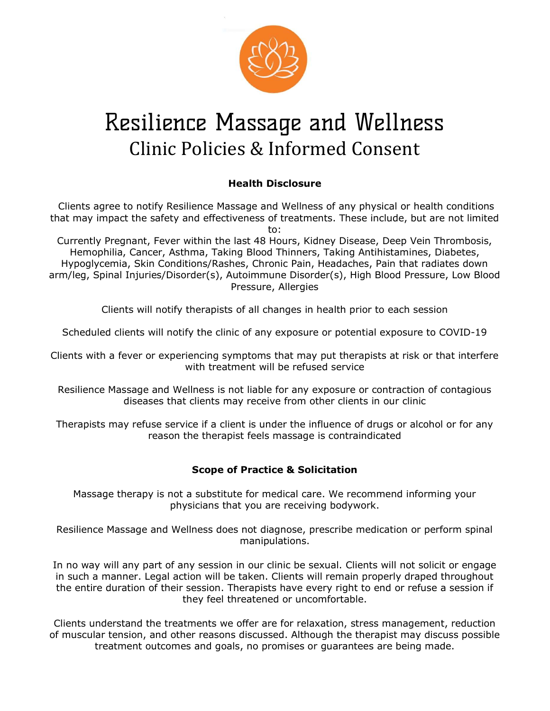

# Resilience Massage and Wellness Clinic Policies & Informed Consent

## Health Disclosure

 Clients agree to notify Resilience Massage and Wellness of any physical or health conditions that may impact the safety and effectiveness of treatments. These include, but are not limited to:

Currently Pregnant, Fever within the last 48 Hours, Kidney Disease, Deep Vein Thrombosis, Hemophilia, Cancer, Asthma, Taking Blood Thinners, Taking Antihistamines, Diabetes, Hypoglycemia, Skin Conditions/Rashes, Chronic Pain, Headaches, Pain that radiates down arm/leg, Spinal Injuries/Disorder(s), Autoimmune Disorder(s), High Blood Pressure, Low Blood Pressure, Allergies

Clients will notify therapists of all changes in health prior to each session

Scheduled clients will notify the clinic of any exposure or potential exposure to COVID-19

Clients with a fever or experiencing symptoms that may put therapists at risk or that interfere with treatment will be refused service

Resilience Massage and Wellness is not liable for any exposure or contraction of contagious diseases that clients may receive from other clients in our clinic

Therapists may refuse service if a client is under the influence of drugs or alcohol or for any reason the therapist feels massage is contraindicated

### Scope of Practice & Solicitation

Massage therapy is not a substitute for medical care. We recommend informing your physicians that you are receiving bodywork.

Resilience Massage and Wellness does not diagnose, prescribe medication or perform spinal manipulations.

In no way will any part of any session in our clinic be sexual. Clients will not solicit or engage in such a manner. Legal action will be taken. Clients will remain properly draped throughout the entire duration of their session. Therapists have every right to end or refuse a session if they feel threatened or uncomfortable.

Clients understand the treatments we offer are for relaxation, stress management, reduction of muscular tension, and other reasons discussed. Although the therapist may discuss possible treatment outcomes and goals, no promises or guarantees are being made.